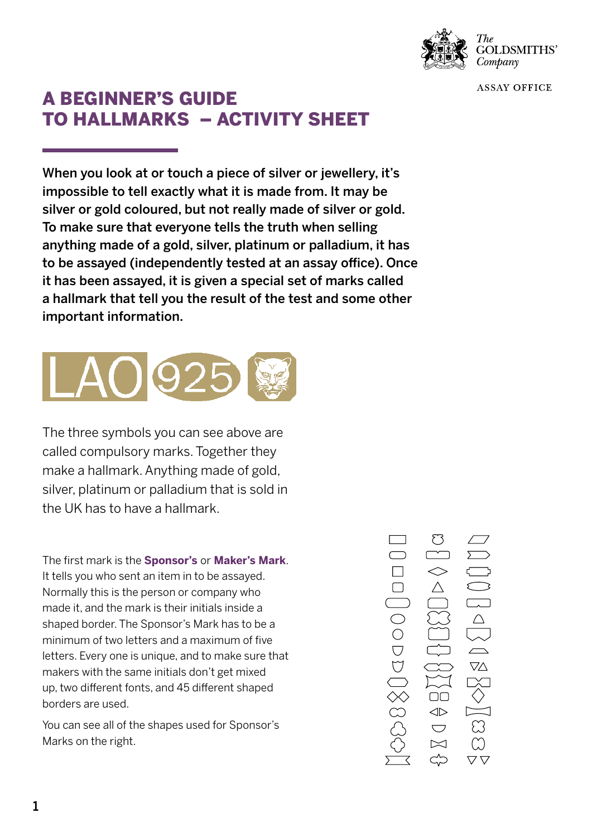

**GOLDSMITHS'** Company

**ASSAY OFFICE** 

## A BEGINNER'S GUIDE TO HALLMARKS – ACTIVITY SHEET

When you look at or touch a piece of silver or jewellery, it's impossible to tell exactly what it is made from. It may be silver or gold coloured, but not really made of silver or gold. To make sure that everyone tells the truth when selling anything made of a gold, silver, platinum or palladium, it has to be assayed (independently tested at an assay office). Once it has been assayed, it is given a special set of marks called a hallmark that tell you the result of the test and some other important information.



The three symbols you can see above are called compulsory marks. Together they make a hallmark. Anything made of gold, silver, platinum or palladium that is sold in the UK has to have a hallmark.

The first mark is the **Sponsor's** or **Maker's Mark**. It tells you who sent an item in to be assayed. Normally this is the person or company who made it, and the mark is their initials inside a shaped border. The Sponsor's Mark has to be a minimum of two letters and a maximum of five letters. Every one is unique, and to make sure that makers with the same initials don't get mixed up, two different fonts, and 45 different shaped borders are used.

You can see all of the shapes used for Sponsor's Marks on the right.

 $\bigcirc$  $\breve{\nabla}$  $\nabla\!\Delta$  $\geqslant 8$  $\Box$  $\Leftrightarrow$  $\bigcup$  $\bowtie$  $\bigtriangledown \bigtriangledown$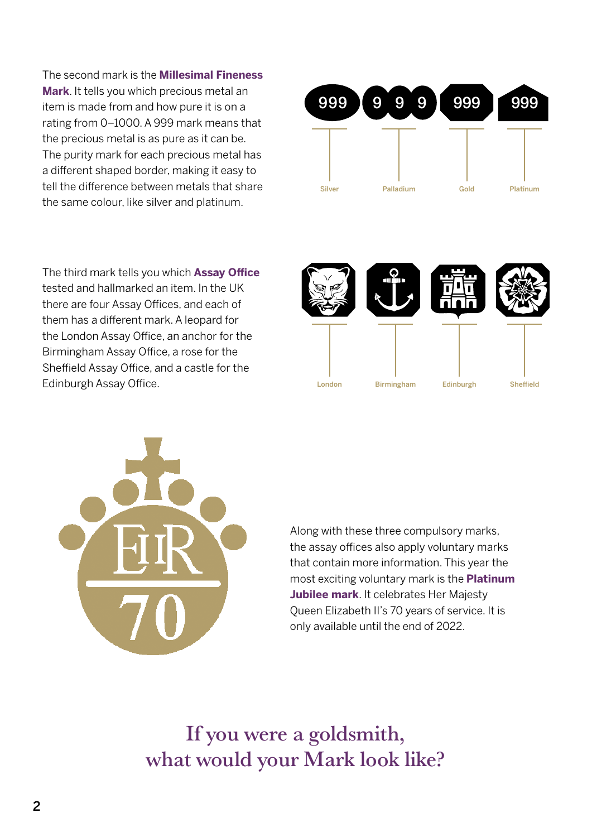The second mark is the **Millesimal Fineness Mark**. It tells you which precious metal an item is made from and how pure it is on a rating from 0–1000. A 999 mark means that the precious metal is as pure as it can be. The purity mark for each precious metal has a different shaped border, making it easy to tell the difference between metals that share the same colour, like silver and platinum.

The third mark tells you which **Assay Office** tested and hallmarked an item. In the UK there are four Assay Offices, and each of them has a different mark. A leopard for the London Assay Office, an anchor for the Birmingham Assay Office, a rose for the Sheffield Assay Office, and a castle for the Edinburgh Assay Office. The Condensation of the London







Along with these three compulsory marks, the assay offices also apply voluntary marks that contain more information. This year the most exciting voluntary mark is the **Platinum Jubilee mark**. It celebrates Her Majesty Queen Elizabeth II's 70 years of service. It is only available until the end of 2022.

If you were a goldsmith, what would your Mark look like?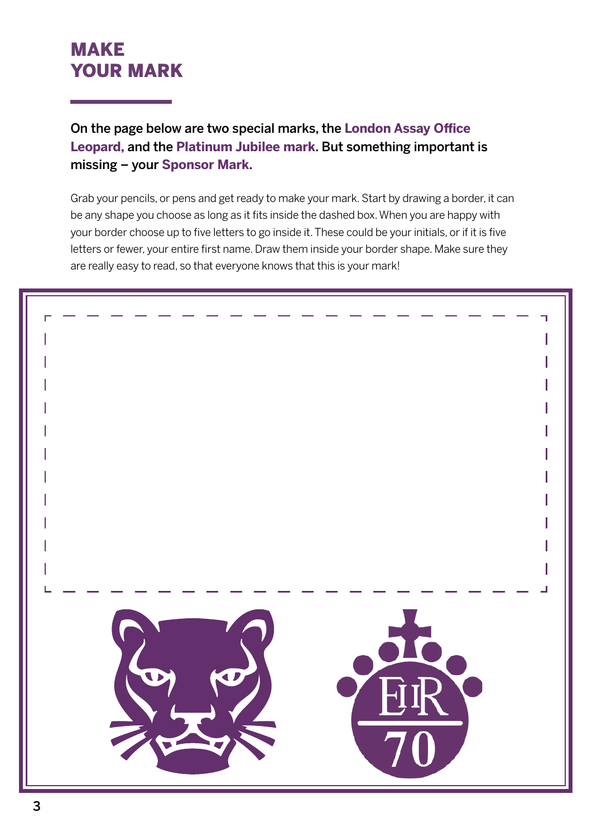## MAKE YOUR MARK

On the page below are two special marks, the **London Assay Office Leopard,** and the **Platinum Jubilee mark**. But something important is missing – your **Sponsor Mark**.

Grab your pencils, or pens and get ready to make your mark. Start by drawing a border, it can be any shape you choose as long as it fits inside the dashed box. When you are happy with your border choose up to five letters to go inside it. These could be your initials, or if it is five letters or fewer, your entire first name. Draw them inside your border shape. Make sure they are really easy to read, so that everyone knows that this is your mark!